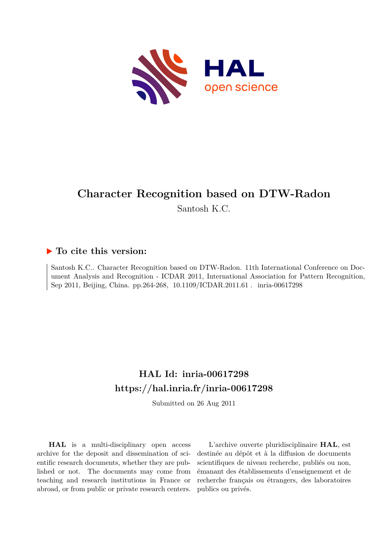

# **Character Recognition based on DTW-Radon**

Santosh K.C.

### **To cite this version:**

Santosh K.C.. Character Recognition based on DTW-Radon. 11th International Conference on Document Analysis and Recognition - ICDAR 2011, International Association for Pattern Recognition, Sep 2011, Beijing, China. pp.264-268, 10.1109/ICDAR.2011.61. inria-00617298

## **HAL Id: inria-00617298 <https://hal.inria.fr/inria-00617298>**

Submitted on 26 Aug 2011

**HAL** is a multi-disciplinary open access archive for the deposit and dissemination of scientific research documents, whether they are published or not. The documents may come from teaching and research institutions in France or abroad, or from public or private research centers.

L'archive ouverte pluridisciplinaire **HAL**, est destinée au dépôt et à la diffusion de documents scientifiques de niveau recherche, publiés ou non, émanant des établissements d'enseignement et de recherche français ou étrangers, des laboratoires publics ou privés.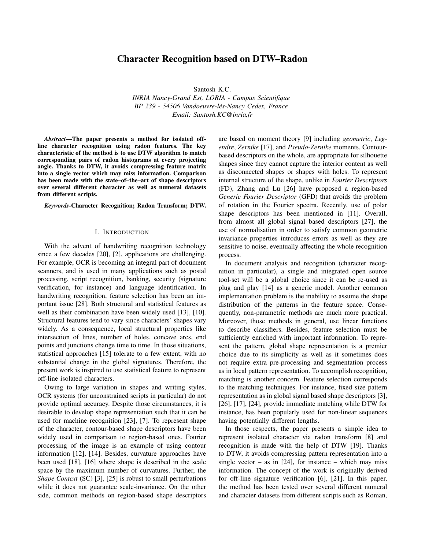### Character Recognition based on DTW–Radon

Santosh K.C.

*INRIA Nancy-Grand Est, LORIA - Campus Scientifique BP 239 - 54506 Vandoeuvre-les-Nancy Cedex, France ´ Email: Santosh.KC@inria.fr*

*Abstract*—The paper presents a method for isolated offline character recognition using radon features. The key characteristic of the method is to use DTW algorithm to match corresponding pairs of radon histograms at every projecting angle. Thanks to DTW, it avoids compressing feature matrix into a single vector which may miss information. Comparison has been made with the state–of–the–art of shape descriptors over several different character as well as numeral datasets from different scripts.

*Keywords*-Character Recognition; Radon Transform; DTW.

#### I. INTRODUCTION

With the advent of handwriting recognition technology since a few decades [20], [2], applications are challenging. For example, OCR is becoming an integral part of document scanners, and is used in many applications such as postal processing, script recognition, banking, security (signature verification, for instance) and language identification. In handwriting recognition, feature selection has been an important issue [28]. Both structural and statistical features as well as their combination have been widely used [13], [10]. Structural features tend to vary since characters' shapes vary widely. As a consequence, local structural properties like intersection of lines, number of holes, concave arcs, end points and junctions change time to time. In those situations, statistical approaches [15] tolerate to a few extent, with no substantial change in the global signatures. Therefore, the present work is inspired to use statistical feature to represent off-line isolated characters.

Owing to large variation in shapes and writing styles, OCR systems (for unconstrained scripts in particular) do not provide optimal accuracy. Despite those circumstances, it is desirable to develop shape representation such that it can be used for machine recognition [23], [7]. To represent shape of the character, contour-based shape descriptors have been widely used in comparison to region-based ones. Fourier processing of the image is an example of using contour information [12], [14]. Besides, curvature approaches have been used [18], [16] where shape is described in the scale space by the maximum number of curvatures. Further, the *Shape Context* (SC) [3], [25] is robust to small perturbations while it does not guarantee scale-invariance. On the other side, common methods on region-based shape descriptors are based on moment theory [9] including *geometric*, *Legendre*, *Zernike* [17], and *Pseudo-Zernike* moments. Contourbased descriptors on the whole, are appropriate for silhouette shapes since they cannot capture the interior content as well as disconnected shapes or shapes with holes. To represent internal structure of the shape, unlike in *Fourier Descriptors* (FD), Zhang and Lu [26] have proposed a region-based *Generic Fourier Descriptor* (GFD) that avoids the problem of rotation in the Fourier spectra. Recently, use of polar shape descriptors has been mentioned in [11]. Overall, from almost all global signal based descriptors [27], the use of normalisation in order to satisfy common geometric invariance properties introduces errors as well as they are sensitive to noise, eventually affecting the whole recognition process.

In document analysis and recognition (character recognition in particular), a single and integrated open source tool-set will be a global choice since it can be re-used as plug and play [14] as a generic model. Another common implementation problem is the inability to assume the shape distribution of the patterns in the feature space. Consequently, non-parametric methods are much more practical. Moreover, those methods in general, use linear functions to describe classifiers. Besides, feature selection must be sufficiently enriched with important information. To represent the pattern, global shape representation is a premier choice due to its simplicity as well as it sometimes does not require extra pre-processing and segmentation process as in local pattern representation. To accomplish recognition, matching is another concern. Feature selection corresponds to the matching techniques. For instance, fixed size pattern representation as in global signal based shape descriptors [3], [26], [17], [24], provide immediate matching while DTW for instance, has been popularly used for non-linear sequences having potentially different lengths.

In those respects, the paper presents a simple idea to represent isolated character via radon transform [8] and recognition is made with the help of DTW [19]. Thanks to DTW, it avoids compressing pattern representation into a single vector – as in  $[24]$ , for instance – which may miss information. The concept of the work is originally derived for off-line signature verification [6], [21]. In this paper, the method has been tested over several different numeral and character datasets from different scripts such as Roman,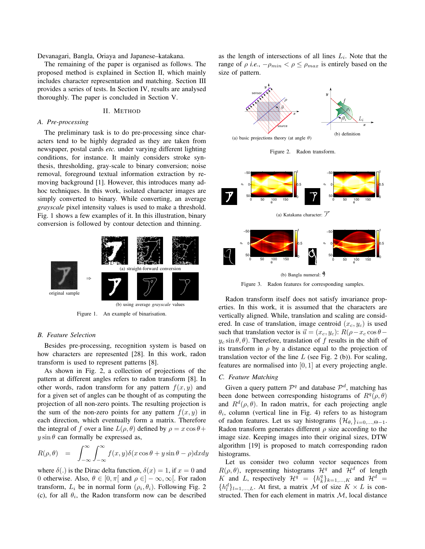Devanagari, Bangla, Oriaya and Japanese–katakana.

The remaining of the paper is organised as follows. The proposed method is explained in Section II, which mainly includes character representation and matching. Section III provides a series of tests. In Section IV, results are analysed thoroughly. The paper is concluded in Section V.

#### II. METHOD

#### *A. Pre-processing*

The preliminary task is to do pre-processing since characters tend to be highly degraded as they are taken from newspaper, postal cards *etc.* under varying different lighting conditions, for instance. It mainly considers stroke synthesis, thresholding, gray-scale to binary conversion; noise removal, foreground textual information extraction by removing background [1]. However, this introduces many adhoc techniques. In this work, isolated character images are simply converted to binary. While converting, an average *grayscale* pixel intensity values is used to make a threshold. Fig. 1 shows a few examples of it. In this illustration, binary conversion is followed by contour detection and thinning.



Figure 1. An example of binarisation.

#### *B. Feature Selection*

Besides pre-processing, recognition system is based on how characters are represented [28]. In this work, radon transform is used to represent patterns [8].

As shown in Fig. 2, a collection of projections of the pattern at different angles refers to radon transform [8]. In other words, radon transform for any pattern  $f(x, y)$  and for a given set of angles can be thought of as computing the projection of all non-zero points. The resulting projection is the sum of the non-zero points for any pattern  $f(x, y)$  in each direction, which eventually form a matrix. Therefore the integral of f over a line  $L(\rho, \theta)$  defined by  $\rho = x \cos \theta +$  $y \sin \theta$  can formally be expressed as,

$$
R(\rho, \theta) = \int_{-\infty}^{\infty} \int_{-\infty}^{\infty} f(x, y) \delta(x \cos \theta + y \sin \theta - \rho) dx dy
$$

where  $\delta(.)$  is the Dirac delta function,  $\delta(x) = 1$ , if  $x = 0$  and 0 otherwise. Also,  $\theta \in [0, \pi]$  and  $\rho \in ]-\infty, \infty[$ . For radon transform,  $L_i$  be in normal form  $(\rho_i, \theta_i)$ . Following Fig. 2 (c), for all  $\theta_i$ , the Radon transform now can be described

as the length of intersections of all lines  $L_i$ . Note that the range of  $\rho$  *i.e.*,  $-\rho_{min} < \rho \le \rho_{max}$  is entirely based on the size of pattern.



Figure 2. Radon transform.



Figure 3. Radon features for corresponding samples.

Radon transform itself does not satisfy invariance properties. In this work, it is assumed that the characters are vertically aligned. While, translation and scaling are considered. In case of translation, image centroid  $(x_c, y_c)$  is used such that translation vector is  $\vec{u} = (x_c, y_c)$ :  $R(\rho - x_c \cos \theta - \rho)$  $y_c \sin \theta$ ,  $\theta$ ). Therefore, translation of f results in the shift of its transform in  $\rho$  by a distance equal to the projection of translation vector of the line  $L$  (see Fig. 2 (b)). For scaling, features are normalised into [0, 1] at every projecting angle.

#### *C. Feature Matching*

Given a query pattern  $\mathcal{P}^q$  and database  $\mathcal{P}^d$ , matching has been done between corresponding histograms of  $R^{q}(\rho,\theta)$ and  $R^d(\rho, \theta)$ . In radon matrix, for each projecting angle  $\theta_i$ , column (vertical line in Fig. 4) refers to as histogram of radon features. Let us say histograms  $\{\mathcal{H}_{\theta_i}\}_{i=0,\dots,\Theta-1}$ . Radon transform generates different  $\rho$  size according to the image size. Keeping images into their original sizes, DTW algorithm [19] is proposed to match corresponding radon histograms.

Let us consider two column vector sequences from  $R(\rho, \theta)$ , representing histograms  $\mathcal{H}^q$  and  $\mathcal{H}^d$  of length K and L, respectively  $\mathcal{H}^q = \{h_k^q\}_{k=1,\dots,K}$  and  $\mathcal{H}^d$  $\{h_l^d\}_{l=1,\dots,L}$ . At first, a matrix M of size  $K \times L$  is constructed. Then for each element in matrix  $M$ , local distance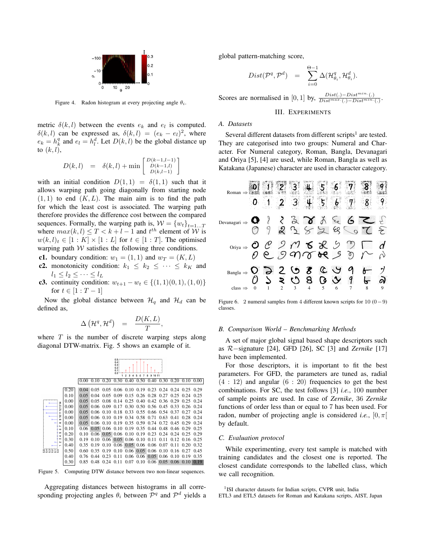

Figure 4. Radon histogram at every projecting angle  $\theta_i$ .

metric  $\delta(k, l)$  between the events  $e_k$  and  $e_l$  is computed.  $\delta(k, l)$  can be expressed as,  $\delta(k, l) = (e_k - e_l)^2$ , where  $e_k = h_k^q$  and  $e_l = h_l^d$ . Let  $D(k, l)$  be the global distance up to  $(k, l)$ ,

$$
D(k,l) = \delta(k,l) + \min \begin{bmatrix} D(k-1,l-1) \\ D(k-1,l) \\ D(k,l-1) \end{bmatrix}
$$

with an initial condition  $D(1, 1) = \delta(1, 1)$  such that it allows warping path going diagonally from starting node  $(1, 1)$  to end  $(K, L)$ . The main aim is to find the path for which the least cost is associated. The warping path therefore provides the difference cost between the compared sequences. Formally, the warping path is,  $W = \{w_t\}_{t=1...T}$ where  $max(k, l) \leq T < k + l - 1$  and  $t<sup>th</sup>$  element of W is  $w(k, l)_t \in [1:K] \times [1:L]$  for  $t \in [1:T]$ . The optimised warping path  $W$  satisfies the following three conditions.

- c1. boundary condition:  $w_1 = (1, 1)$  and  $w_T = (K, L)$
- c2. monotonicity condition:  $k_1 \leq k_2 \leq \cdots \leq k_K$  and  $l_1 \leq l_2 \leq \cdots \leq l_L$
- c3. continuity condition:  $w_{t+1} w_t \in \{(1, 1)(0, 1), (1, 0)\}\$ for  $t \in [1 : T - 1]$

Now the global distance between  $\mathcal{H}_q$  and  $\mathcal{H}_d$  can be defined as,

$$
\Delta\left(\mathcal{H}^q,\mathcal{H}^d\right) \quad = \quad \frac{D(K,L)}{T},
$$

where  $T$  is the number of discrete warping steps along diagonal DTW-matrix. Fig. 5 shows an example of it.

|                                                                                                                   |                                                                                              | 0.5<br>0.4<br>0.3<br>0.2<br>0.1<br>0.0<br>$\overline{z}$<br>3<br>5<br>9<br>10 11<br>1<br>8 |                                                                   |                                                      |                                                   |                                                                                                                                                                                                                                                        |                                           |                                                                               |                                                                                      |                                                                                                           |                                                              |                                                                                              |
|-------------------------------------------------------------------------------------------------------------------|----------------------------------------------------------------------------------------------|--------------------------------------------------------------------------------------------|-------------------------------------------------------------------|------------------------------------------------------|---------------------------------------------------|--------------------------------------------------------------------------------------------------------------------------------------------------------------------------------------------------------------------------------------------------------|-------------------------------------------|-------------------------------------------------------------------------------|--------------------------------------------------------------------------------------|-----------------------------------------------------------------------------------------------------------|--------------------------------------------------------------|----------------------------------------------------------------------------------------------|
|                                                                                                                   |                                                                                              | 0.00                                                                                       | 0.10                                                              | 0.20                                                 | 0.30                                              | 0.40                                                                                                                                                                                                                                                   | 0.50                                      | 0.40                                                                          | 0.30                                                                                 | 0.20                                                                                                      | 0.10                                                         | 0.00                                                                                         |
| ᅽ<br>p<br>$\sim$<br>E<br>ρ<br>$\sigma$<br>$\infty$<br>r<br><b>GO</b><br>5<br>÷<br>c<br>$\sim$<br>-<br>n a w w = o | 0.20<br>0.10<br>0.00<br>0.00<br>0.00<br>0.00<br>0.00<br>0.10<br>0.20<br>0.30<br>0.40<br>0.50 | 0.04<br>0.05<br>0.05<br>0.05<br>0.05<br>0.05<br>0.05<br>$0.06 -$<br>0.10<br>0.19<br>0.60   | 0.04<br>0.05<br>0.06<br>0.06<br>0.06<br>0.06<br>0.35 0.19<br>0.35 | 0.08<br>0.09<br>0.10<br>0.10<br>0.10<br>0.10<br>0.19 | 0.05 0.09<br>0.14<br>0.17<br>0.18<br>0.19<br>0.19 | 0.05 0.05 0.06 0.10 0.19 0.23 0.24 0.24 0.25<br>0.15<br>0.25<br>0.30<br>0.34<br>0.35<br>$0.05$ 0.06 0.10 0.19 0.35 0.44<br>$0.06$ 0.05 0.06 0.10 0.19<br>$0.10$ $0.06$ $0.05$ $0.06$ $0.10$ $0.11$<br>$0.06$ $0.05$ $0.06$ $0.06$<br>$0.10 \quad 0.06$ | 0.26 0.28<br>0.40<br>0.50<br>0.58<br>0.59 | 0.42<br>0.56<br>$0.33$ $0.55$ $0.66$<br>0.71<br>0.74<br>0.23<br>$0.05 \ 0.06$ | 0.27<br>0.36<br>0.45<br>0.54<br>0.63<br>0.72<br>0.48<br>0.24<br>0.11<br>0.07<br>0.10 | 0.25<br>0.29<br>0.33<br>0.37<br>0.41<br>0.45<br>0.46 0.29<br>0.24<br>$0.12 \ 0.16$<br>0.11<br>$0.16$ 0.27 | 0.24<br>0.25<br>0.26<br>0.27<br>0.28<br>0.29<br>0.25<br>0.20 | 0.29<br>0.25<br>0.24<br>0.24<br>0.24<br>0.24<br>0.24<br>0.25<br>0.29<br>0.25<br>0.32<br>0.45 |
| oooo                                                                                                              | 0.40<br>0.30                                                                                 | 0.76<br>0.85                                                                               | 0.44<br>0.48                                                      | 0.23<br>0.24                                         | 0.11<br>0.11                                      | 0.06<br>0.07                                                                                                                                                                                                                                           |                                           | $0.06$ 0.05 0.06<br>$0.10 \quad 0.06$                                         |                                                                                      | 0.10<br>$0.05 \ 0.06$                                                                                     | 0.19<br>0.10                                                 | 0.35<br>0.19                                                                                 |

Figure 5. Computing DTW distance between two non-linear sequences.

Aggregating distances between histograms in all corresponding projecting angles  $\theta_i$  between  $\mathcal{P}^q$  and  $\mathcal{P}^d$  yields a global pattern-matching score,

$$
Dist(\mathcal{P}^q, \mathcal{P}^d) = \sum_{i=0}^{\Theta-1} \Delta(\mathcal{H}_{\theta_i}^q, \mathcal{H}_{\theta_i}^d).
$$

Scores are normalised in [0, 1] by,  $\frac{Dist(.) - Dist^{min}(\cdot)}{Dist^{max}(\cdot) - Dist^{min}(\cdot)}$ .

#### III. EXPERIMENTS

#### *A. Datasets*

Several different datasets from different scripts<sup>1</sup> are tested. They are categorised into two groups: Numeral and Character. For Numeral category, Roman, Bangla, Devanagari and Oriya [5], [4] are used, while Roman, Bangla as well as Katakana (Japanese) character are used in character category.



Figure 6. 2 numeral samples from 4 different known scripts for 10 (0−9) classes.

#### *B. Comparison World – Benchmarking Methods*

A set of major global signal based shape descriptors such as R−signature [24], GFD [26], SC [3] and *Zernike* [17] have been implemented.

For those descriptors, it is important to fit the best parameters. For GFD, the parameters are tuned as, radial  $(4:12)$  and angular  $(6:20)$  frequencies to get the best combinations. For SC, the test follows [3] *i.e.*, 100 number of sample points are used. In case of *Zernike*, 36 *Zernike* functions of order less than or equal to 7 has been used. For radon, number of projecting angle is considered *i.e.*,  $[0, \pi]$ by default.

#### *C. Evaluation protocol*

While experimenting, every test sample is matched with training candidates and the closest one is reported. The closest candidate corresponds to the labelled class, which we call recognition.

<sup>&</sup>lt;sup>1</sup>ISI character datasets for Indian scripts, CVPR unit, India

ETL3 and ETL5 datasets for Roman and Katakana scripts, AIST, Japan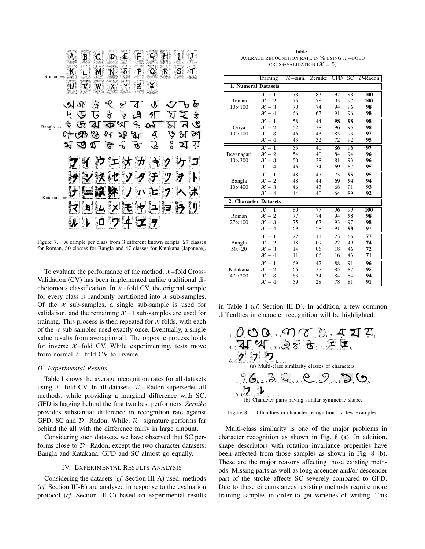

Figure 7. A sample per class from 3 different known scripts: 27 classes for Roman, 50 classes for Bangla and 47 classes for Katakana (Japanese).

To evaluate the performance of the method,  $\chi$  –fold Cross-Validation (CV) has been implemented unlike traditional dichotomous classification. In  $\chi$ -fold CV, the original sample for every class is randomly partitioned into  $\chi$  sub-samples. Of the  $\chi$  sub-samples, a single sub-sample is used for validation, and the remaining  $X - 1$  sub-samples are used for training. This process is then repeated for  $\chi$  folds, with each of the  $\chi$  sub-samples used exactly once. Eventually, a single value results from averaging all. The opposite process holds for inverse  $\mathcal{X}-$ fold CV. While experimenting, tests move from normal  $\chi$ -fold CV to inverse.

#### *D. Experimental Results*

Table I shows the average recognition rates for all datasets using X −fold CV. In all datasets, D−Radon supersedes all methods, while providing a marginal difference with SC. GFD is lagging behind the first two best performers. *Zernike* provides substantial difference in recognition rate against GFD, SC and D−Radon. While, R−signature performs far behind the all with the difference fairly in large amount.

Considering such datasets, we have observed that SC performs close to D−Radon, except the two character datasets: Bangla and Katakana. GFD and SC almost go equally.

#### IV. EXPERIMENTAL RESULTS ANALYSIS

Considering the datasets (*cf.* Section III-A) used, methods (*cf.* Section III-B) are analysed in response to the evaluation protocol (*cf.* Section III-C) based on experimental results

Table I AVERAGE RECOGNITION RATE IN  $\%$  using  $\mathcal{X}-$  FOLD CROSS-VALIDATION  $(X = 5)$ 

|                            | Training                   | $\overline{\mathcal{R}}$ -sign. | Zernike         | <b>GFD</b>      | SC              | $D$ -Radon      |
|----------------------------|----------------------------|---------------------------------|-----------------|-----------------|-----------------|-----------------|
| <b>1. Numeral Datasets</b> |                            |                                 |                 |                 |                 |                 |
| Roman<br>$10\times100$     | $\overline{\mathcal{X}-1}$ | $\overline{78}$                 | 83              | 97              | 98              | <b>100</b>      |
|                            | $\mathcal{X}-2$            | 75                              | 78              | 95              | 97              | 100             |
|                            | $\mathcal{X}-3$            | 70                              | 74              | 94              | 96              | 98              |
|                            | $\mathcal{X}-4$            | 66                              | 67              | 91              | 96              | 98              |
|                            | $\overline{\mathcal{X}-1}$ | 58                              | 44              | 98              | 98              | 98              |
| Oriya                      | $\mathcal{X}-2$            | 52                              | 38              | 96              | 95              | 98              |
| $10\times100$              | $\mathcal{X}-3$            | 46                              | 43              | 85              | 93              | 97              |
|                            | $\mathcal{X}-4$            | 43                              | 32              | 72              | 92              | 95              |
|                            | $\overline{\mathcal{X}-1}$ | 55                              | 40              | 86              | 96              | 97              |
| Devanagari                 | $\mathcal{X}-2$            | 54                              | 40              | 84              | 94              | 96              |
| $10\times300$              | $\mathcal{X}-3$            | 50                              | 38              | 81              | 93              | 96              |
|                            | $\mathcal{X}-4$            | 46                              | 34              | 69              | 87              | 95              |
|                            | $\mathcal{X}-1$            | 48                              | 47              | 73              | 95              | 95              |
| Bangla                     | $\mathcal{X}-2$            | 48                              | 44              | 69              | 94              | 94              |
| $10\times 400$             | $\mathcal{X}-3$            | 46                              | 43              | 68              | 91              | 93              |
|                            | $\mathcal{X}-4$            | 44                              | 40              | 64              | 89              | 92              |
| 2. Character Datasets      |                            |                                 |                 |                 |                 |                 |
|                            | $\overline{\mathcal{X}-1}$ | 80                              | $\overline{77}$ | 96              | 99              | <b>100</b>      |
| Roman                      | $\mathcal{X}-2$            | 77                              | 74              | 94              | 98              | 98              |
| $27\times100$              | $\mathcal{X}-3$            | 75                              | 67              | 93              | 97              | 98              |
|                            | $\mathcal{X}-4$            | 69                              | 58              | 91              | 98              | 97              |
|                            | $\overline{\mathcal{X}-1}$ | $\overline{22}$                 | $\overline{11}$ | $\overline{23}$ | $\overline{55}$ | $\overline{77}$ |
| Bangla                     | $\mathcal{X}-2$            | 18                              | 09              | 22              | 49              | 74              |
| $50\times20$               | $\mathcal{X}-3$            | 14                              | 06              | 18              | 46              | 72              |
|                            | $\mathcal{X}-4$            | 11                              | 06              | 16              | 43              | 71              |
|                            | $\overline{\mathcal{X}-1}$ | 69                              | $\overline{42}$ | 88              | $\overline{91}$ | 96              |
| Katakana                   | $\mathcal{X}-2$            | 66                              | 37              | 85              | 87              | 95              |
| $47\times200$              | $\mathcal{X}-3$            | 63                              | 34              | 84              | 84              | 94              |
|                            | $\mathcal{X}-4$            | 59                              | 28              | 78              | 81              | 91              |

in Table I (*cf.* Section III-D). In addition, a few common difficulties in character recognition will be highlighted.





Multi-class similarity is one of the major problems in character recognition as shown in Fig. 8 (a). In addition, shape descriptors with rotation invariance properties have been affected from those samples as shown in Fig. 8 (b). These are the major reasons affecting those existing methods. Missing parts as well as long ascender and/or descender part of the stroke affects SC severely compared to GFD. Due to these circumstances, existing methods require more training samples in order to get varieties of writing. This